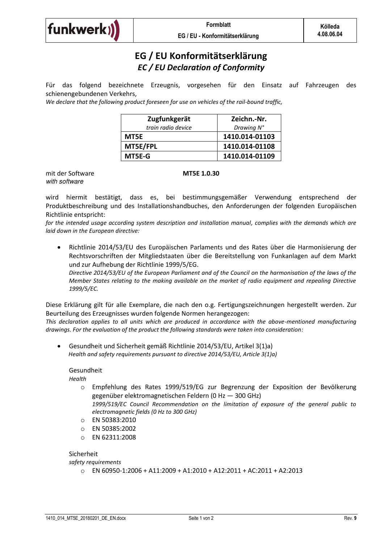

## **EG / EU Konformitätserklärung**  *EC / EU Declaration of Conformity*

Für das folgend bezeichnete Erzeugnis, vorgesehen für den Einsatz auf Fahrzeugen des schienengebundenen Verkehrs,

*We declare that the following product foreseen for use on vehicles of the rail-bound traffic,* 

| Zugfunkgerät       | Zeichn.-Nr.    |
|--------------------|----------------|
| train radio device | Drawing N°     |
| MT5E.              | 1410.014-01103 |
| MT5E/FPL           | 1410.014-01108 |
| MT5E-G             | 1410.014-01109 |

mit der Software **MT5E 1.0.30** *with software* 

wird hiermit bestätigt, dass es, bei bestimmungsgemäßer Verwendung entsprechend der Produktbeschreibung und des Installationshandbuches, den Anforderungen der folgenden Europäischen Richtlinie entspricht:

*for the intended usage according system description and installation manual, complies with the demands which are laid down in the European directive:* 

 Richtlinie 2014/53/EU des Europäischen Parlaments und des Rates über die Harmonisierung der Rechtsvorschriften der Mitgliedstaaten über die Bereitstellung von Funkanlagen auf dem Markt und zur Aufhebung der Richtlinie 1999/5/EG.

*Directive 2014/53/EU of the European Parliament and of the Council on the harmonisation of the laws of the Member States relating to the making available on the market of radio equipment and repealing Directive 1999/5/EC.* 

Diese Erklärung gilt für alle Exemplare, die nach den o.g. Fertigungszeichnungen hergestellt werden. Zur Beurteilung des Erzeugnisses wurden folgende Normen herangezogen:

*This declaration applies to all units which are produced in accordance with the above-mentioned manufacturing drawings. For the evaluation of the product the following standards were taken into consideration:* 

 Gesundheit und Sicherheit gemäß Richtlinie 2014/53/EU, Artikel 3(1)a) *Health and safety requirements pursuant to directive 2014/53/EU, Article 3(1)a)* 

## Gesundheit

*Health* 

- o Empfehlung des Rates 1999/519/EG zur Begrenzung der Exposition der Bevölkerung gegenüber elektromagnetischen Feldern (0 Hz — 300 GHz)
	- *1999/519/EC Council Recommendation on the limitation of exposure of the general public to electromagnetic fields (0 Hz to 300 GHz)*
- o EN 50383:2010
- o EN 50385:2002
- o EN 62311:2008

Sicherheit

*safety requirements* 

 $\circ$  EN 60950-1:2006 + A11:2009 + A1:2010 + A12:2011 + AC:2011 + A2:2013